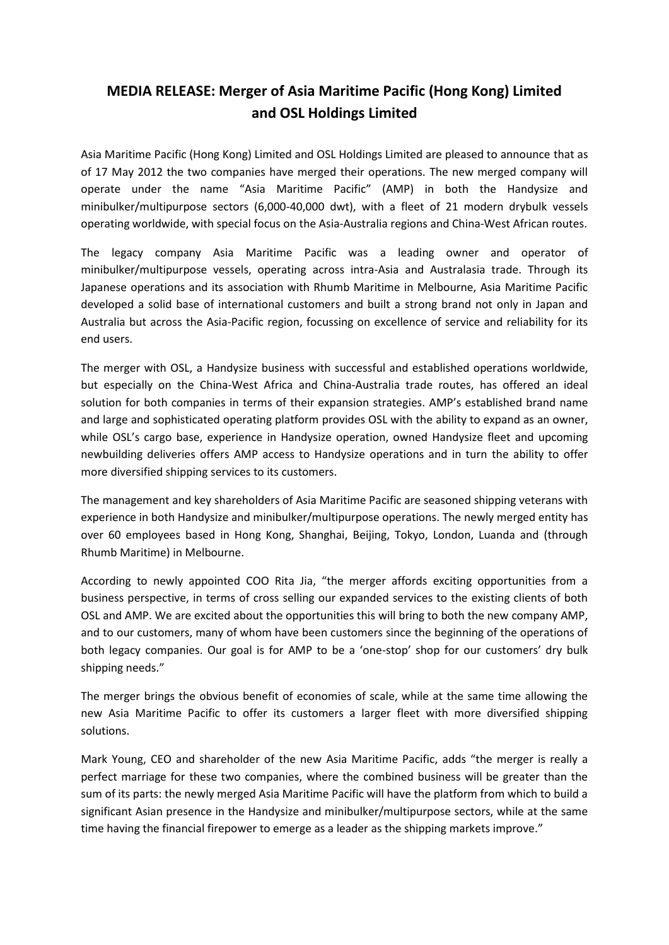## **MEDIA RELEASE: Merger of Asia Maritime Pacific (Hong Kong) Limited and OSL Holdings Limited**

Asia Maritime Pacific (Hong Kong) Limited and OSL Holdings Limited are pleased to announce that as of 17 May 2012 the two companies have merged their operations. The new merged company will operate under the name "Asia Maritime Pacific" (AMP) in both the Handysize and minibulker/multipurpose sectors (6,000-40,000 dwt), with a fleet of 21 modern drybulk vessels operating worldwide, with special focus on the Asia-Australia regions and China-West African routes.

The legacy company Asia Maritime Pacific was a leading owner and operator of minibulker/multipurpose vessels, operating across intra-Asia and Australasia trade. Through its Japanese operations and its association with Rhumb Maritime in Melbourne, Asia Maritime Pacific developed a solid base of international customers and built a strong brand not only in Japan and Australia but across the Asia-Pacific region, focussing on excellence of service and reliability for its end users.

The merger with OSL, a Handysize business with successful and established operations worldwide, but especially on the China-West Africa and China-Australia trade routes, has offered an ideal solution for both companies in terms of their expansion strategies. AMP's established brand name and large and sophisticated operating platform provides OSL with the ability to expand as an owner, while OSL's cargo base, experience in Handysize operation, owned Handysize fleet and upcoming newbuilding deliveries offers AMP access to Handysize operations and in turn the ability to offer more diversified shipping services to its customers.

The management and key shareholders of Asia Maritime Pacific are seasoned shipping veterans with experience in both Handysize and minibulker/multipurpose operations. The newly merged entity has over 60 employees based in Hong Kong, Shanghai, Beijing, Tokyo, London, Luanda and (through Rhumb Maritime) in Melbourne.

According to newly appointed COO Rita Jia, "the merger affords exciting opportunities from a business perspective, in terms of cross selling our expanded services to the existing clients of both OSL and AMP. We are excited about the opportunities this will bring to both the new company AMP, and to our customers, many of whom have been customers since the beginning of the operations of both legacy companies. Our goal is for AMP to be a 'one-stop' shop for our customers' dry bulk shipping needs."

The merger brings the obvious benefit of economies of scale, while at the same time allowing the new Asia Maritime Pacific to offer its customers a larger fleet with more diversified shipping solutions.

Mark Young, CEO and shareholder of the new Asia Maritime Pacific, adds "the merger is really a perfect marriage for these two companies, where the combined business will be greater than the sum of its parts: the newly merged Asia Maritime Pacific will have the platform from which to build a significant Asian presence in the Handysize and minibulker/multipurpose sectors, while at the same time having the financial firepower to emerge as a leader as the shipping markets improve."